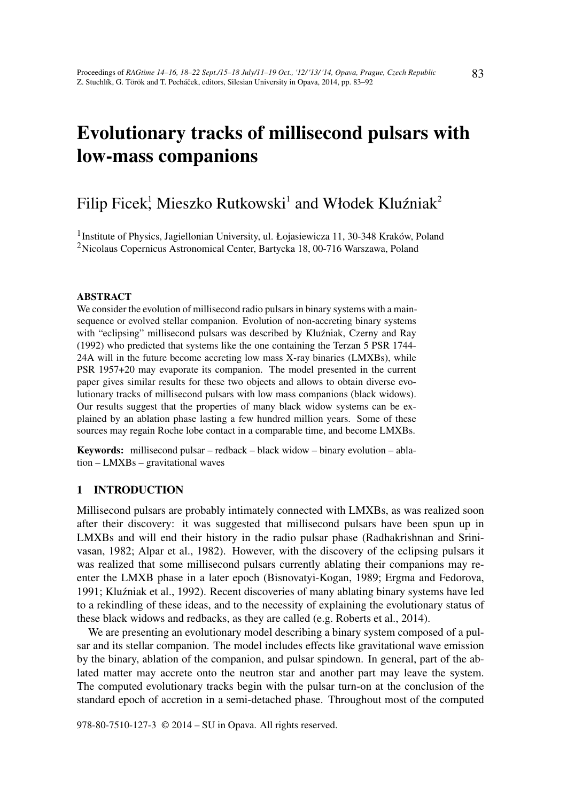# Evolutionary tracks of millisecond pulsars with low-mass companions

# Filip Ficek<sup>!</sup>, Mieszko Rutkowski<sup>1</sup> and Włodek Kluźniak<sup>2</sup>

<sup>1</sup>Institute of Physics, Jagiellonian University, ul. Łojasiewicza 11, 30-348 Kraków, Poland <sup>2</sup>Nicolaus Copernicus Astronomical Center, Bartycka 18, 00-716 Warszawa, Poland

## ABSTRACT

We consider the evolution of millisecond radio pulsars in binary systems with a mainsequence or evolved stellar companion. Evolution of non-accreting binary systems with "eclipsing" millisecond pulsars was described by Kluźniak, Czerny and Ray (1992) who predicted that systems like the one containing the Terzan 5 PSR 1744- 24A will in the future become accreting low mass X-ray binaries (LMXBs), while PSR 1957+20 may evaporate its companion. The model presented in the current paper gives similar results for these two objects and allows to obtain diverse evolutionary tracks of millisecond pulsars with low mass companions (black widows). Our results suggest that the properties of many black widow systems can be explained by an ablation phase lasting a few hundred million years. Some of these sources may regain Roche lobe contact in a comparable time, and become LMXBs.

Keywords: millisecond pulsar – redback – black widow – binary evolution – ablation – LMXBs – gravitational waves

# 1 INTRODUCTION

Millisecond pulsars are probably intimately connected with LMXBs, as was realized soon after their discovery: it was suggested that millisecond pulsars have been spun up in LMXBs and will end their history in the radio pulsar phase (Radhakrishnan and Srinivasan, 1982; Alpar et al., 1982). However, with the discovery of the eclipsing pulsars it was realized that some millisecond pulsars currently ablating their companions may reenter the LMXB phase in a later epoch (Bisnovatyi-Kogan, 1989; Ergma and Fedorova, 1991; Kluźniak et al., 1992). Recent discoveries of many ablating binary systems have led to a rekindling of these ideas, and to the necessity of explaining the evolutionary status of these black widows and redbacks, as they are called (e.g. Roberts et al., 2014).

We are presenting an evolutionary model describing a binary system composed of a pulsar and its stellar companion. The model includes effects like gravitational wave emission by the binary, ablation of the companion, and pulsar spindown. In general, part of the ablated matter may accrete onto the neutron star and another part may leave the system. The computed evolutionary tracks begin with the pulsar turn-on at the conclusion of the standard epoch of accretion in a semi-detached phase. Throughout most of the computed

978-80-7510-127-3 © 2014 – SU in Opava. All rights reserved.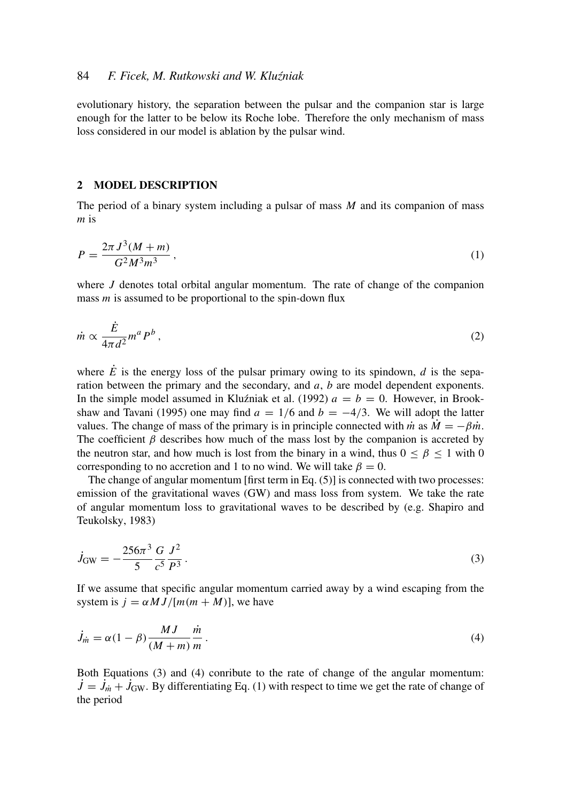evolutionary history, the separation between the pulsar and the companion star is large enough for the latter to be below its Roche lobe. Therefore the only mechanism of mass loss considered in our model is ablation by the pulsar wind.

#### 2 MODEL DESCRIPTION

The period of a binary system including a pulsar of mass *M* and its companion of mass *m* is

$$
P = \frac{2\pi J^3 (M+m)}{G^2 M^3 m^3},\tag{1}
$$

where *J* denotes total orbital angular momentum. The rate of change of the companion mass *m* is assumed to be proportional to the spin-down flux

$$
\dot{m} \propto \frac{\dot{E}}{4\pi d^2} m^a P^b \,,\tag{2}
$$

where  $\dot{E}$  is the energy loss of the pulsar primary owing to its spindown, *d* is the separation between the primary and the secondary, and *a*, *b* are model dependent exponents. In the simple model assumed in Kluźniak et al. (1992)  $a = b = 0$ . However, in Brookshaw and Tavani (1995) one may find  $a = 1/6$  and  $b = -4/3$ . We will adopt the latter values. The change of mass of the primary is in principle connected with *m* as  $\dot{M} = -\beta \dot{m}$ . The coefficient  $\beta$  describes how much of the mass lost by the companion is accreted by the neutron star, and how much is lost from the binary in a wind, thus  $0 \le \beta \le 1$  with 0 corresponding to no accretion and 1 to no wind. We will take  $\beta = 0$ .

The change of angular momentum [first term in Eq. (5)] is connected with two processes: emission of the gravitational waves (GW) and mass loss from system. We take the rate of angular momentum loss to gravitational waves to be described by (e.g. Shapiro and Teukolsky, 1983)

$$
\dot{J}_{\rm GW} = -\frac{256\pi^3}{5} \frac{G}{c^5} \frac{J^2}{P^3} \,. \tag{3}
$$

If we assume that specific angular momentum carried away by a wind escaping from the system is  $j = \alpha M J / [m(m + M)]$ , we have

$$
\dot{J}_{\dot{m}} = \alpha (1 - \beta) \frac{MJ}{(M + m)} \frac{\dot{m}}{m} \,. \tag{4}
$$

Both Equations (3) and (4) conribute to the rate of change of the angular momentum:  $\dot{J} = \dot{J}_{\dot{m}} + \dot{J}_{\text{GW}}$ . By differentiating Eq. (1) with respect to time we get the rate of change of the period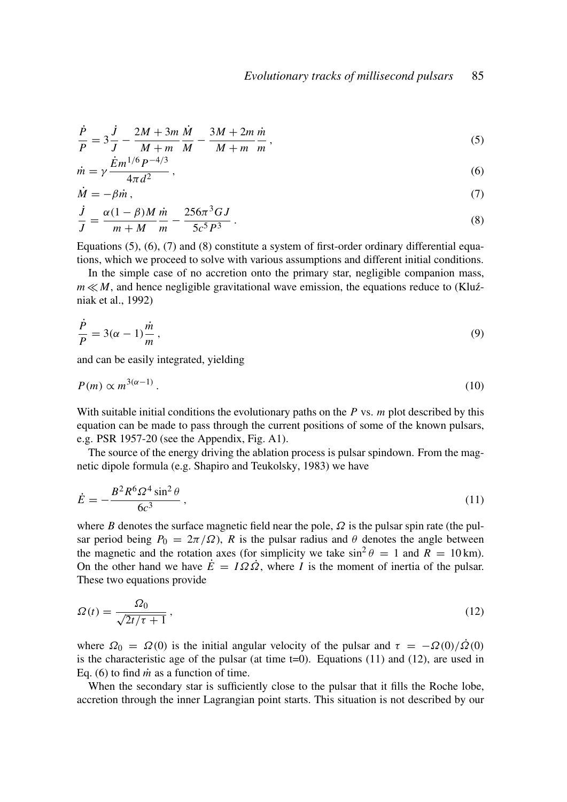$$
\frac{\dot{P}}{P} = 3\frac{\dot{J}}{J} - \frac{2M + 3m}{M + m}\frac{\dot{M}}{M} - \frac{3M + 2m}{M + m}\frac{\dot{m}}{m},
$$
\n(5)

$$
\dot{m} = \gamma \frac{\dot{E}m^{1/6}P^{-4/3}}{4\pi d^2} \,,\tag{6}
$$

$$
\dot{M} = -\beta \dot{m},\tag{7}
$$

$$
\frac{j}{J} = \frac{\alpha(1-\beta)M}{m+M}\frac{\dot{m}}{m} - \frac{256\pi^3 GJ}{5c^5 P^3}.
$$
\n(8)

Equations  $(5)$ ,  $(6)$ ,  $(7)$  and  $(8)$  constitute a system of first-order ordinary differential equations, which we proceed to solve with various assumptions and different initial conditions.

In the simple case of no accretion onto the primary star, negligible companion mass,  $m \ll M$ , and hence negligible gravitational wave emission, the equations reduce to (Kluźniak et al., 1992)

$$
\frac{\dot{P}}{P} = 3(\alpha - 1)\frac{\dot{m}}{m},\tag{9}
$$

and can be easily integrated, yielding

$$
P(m) \propto m^{3(\alpha - 1)}\,. \tag{10}
$$

With suitable initial conditions the evolutionary paths on the *P* vs. *m* plot described by this equation can be made to pass through the current positions of some of the known pulsars, e.g. PSR 1957-20 (see the Appendix, Fig. A1).

The source of the energy driving the ablation process is pulsar spindown. From the magnetic dipole formula (e.g. Shapiro and Teukolsky, 1983) we have

$$
\dot{E} = -\frac{B^2 R^6 \Omega^4 \sin^2 \theta}{6c^3} \,, \tag{11}
$$

where *B* denotes the surface magnetic field near the pole,  $\Omega$  is the pulsar spin rate (the pulsar period being  $P_0 = 2\pi/\Omega$ ), *R* is the pulsar radius and  $\theta$  denotes the angle between the magnetic and the rotation axes (for simplicity we take  $\sin^2 \theta = 1$  and  $R = 10$  km). On the other hand we have  $\dot{E} = I\Omega\dot{\Omega}$ , where *I* is the moment of inertia of the pulsar. These two equations provide

$$
\Omega(t) = \frac{\Omega_0}{\sqrt{2t/\tau + 1}},\tag{12}
$$

where  $\Omega_0 = \Omega(0)$  is the initial angular velocity of the pulsar and  $\tau = -\Omega(0)/\Omega(0)$ is the characteristic age of the pulsar (at time  $t=0$ ). Equations (11) and (12), are used in Eq. (6) to find  $\dot{m}$  as a function of time.

When the secondary star is sufficiently close to the pulsar that it fills the Roche lobe, accretion through the inner Lagrangian point starts. This situation is not described by our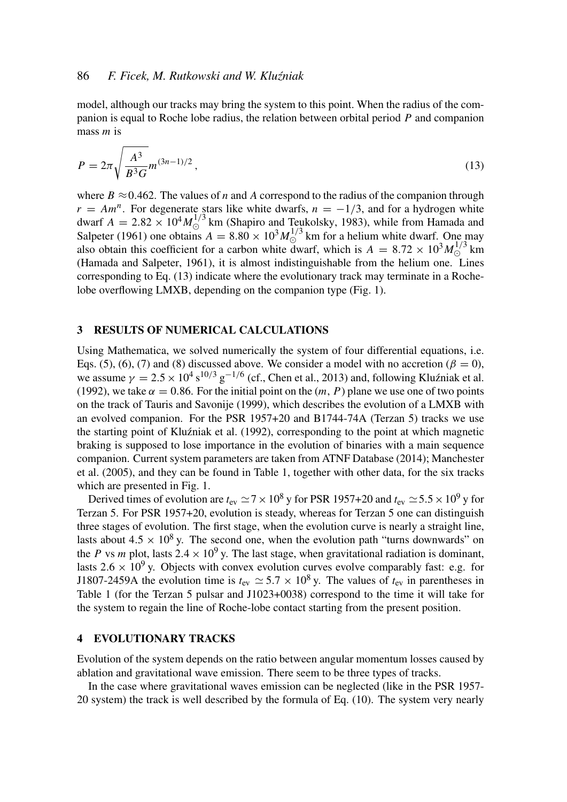#### 86 *F. Ficek, M. Rutkowski and W. Klu´zniak*

model, although our tracks may bring the system to this point. When the radius of the companion is equal to Roche lobe radius, the relation between orbital period *P* and companion mass *m* is

$$
P = 2\pi \sqrt{\frac{A^3}{B^3 G}} m^{(3n-1)/2},
$$
\n(13)

where  $B \approx 0.462$ . The values of *n* and *A* correspond to the radius of the companion through  $r = Am<sup>n</sup>$ . For degenerate stars like white dwarfs,  $n = -1/3$ , and for a hydrogen white dwarf  $A = 2.82 \times 10^4 M_{\odot}^{1/3}$  km (Shapiro and Teukolsky, 1983), while from Hamada and Salpeter (1961) one obtains  $A = 8.80 \times 10^3 M_{\odot}^{1/3}$  km for a helium white dwarf. One may also obtain this coefficient for a carbon white dwarf, which is  $A = 8.72 \times 10^3 M_{\odot}^{1/3}$  km (Hamada and Salpeter, 1961), it is almost indistinguishable from the helium one. Lines corresponding to Eq. (13) indicate where the evolutionary track may terminate in a Rochelobe overflowing LMXB, depending on the companion type (Fig. 1).

## 3 RESULTS OF NUMERICAL CALCULATIONS

Using Mathematica, we solved numerically the system of four differential equations, i.e. Eqs. (5), (6), (7) and (8) discussed above. We consider a model with no accretion ( $\beta = 0$ ), we assume  $\gamma = 2.5 \times 10^4 \,\mathrm{s}^{10/3} \,\mathrm{g}^{-1/6}$  (cf., Chen et al., 2013) and, following Kluźniak et al. (1992), we take  $\alpha = 0.86$ . For the initial point on the  $(m, P)$  plane we use one of two points on the track of Tauris and Savonije (1999), which describes the evolution of a LMXB with an evolved companion. For the PSR 1957+20 and B1744-74A (Terzan 5) tracks we use the starting point of Kluźniak et al. (1992), corresponding to the point at which magnetic braking is supposed to lose importance in the evolution of binaries with a main sequence companion. Current system parameters are taken from ATNF Database (2014); Manchester et al. (2005), and they can be found in Table 1, together with other data, for the six tracks which are presented in Fig. 1.

Derived times of evolution are  $t_{\text{ev}} \simeq 7 \times 10^8$  y for PSR 1957+20 and  $t_{\text{ev}} \simeq 5.5 \times 10^9$  y for Terzan 5. For PSR 1957+20, evolution is steady, whereas for Terzan 5 one can distinguish three stages of evolution. The first stage, when the evolution curve is nearly a straight line, lasts about  $4.5 \times 10^8$  y. The second one, when the evolution path "turns downwards" on the *P* vs *m* plot, lasts 2.4  $\times$  10<sup>9</sup> y. The last stage, when gravitational radiation is dominant, lasts  $2.6 \times 10^9$  y. Objects with convex evolution curves evolve comparably fast: e.g. for J1807-2459A the evolution time is  $t_{\text{ev}} \approx 5.7 \times 10^8$  y. The values of  $t_{\text{ev}}$  in parentheses in Table 1 (for the Terzan 5 pulsar and J1023+0038) correspond to the time it will take for the system to regain the line of Roche-lobe contact starting from the present position.

## 4 EVOLUTIONARY TRACKS

Evolution of the system depends on the ratio between angular momentum losses caused by ablation and gravitational wave emission. There seem to be three types of tracks.

In the case where gravitational waves emission can be neglected (like in the PSR 1957- 20 system) the track is well described by the formula of Eq. (10). The system very nearly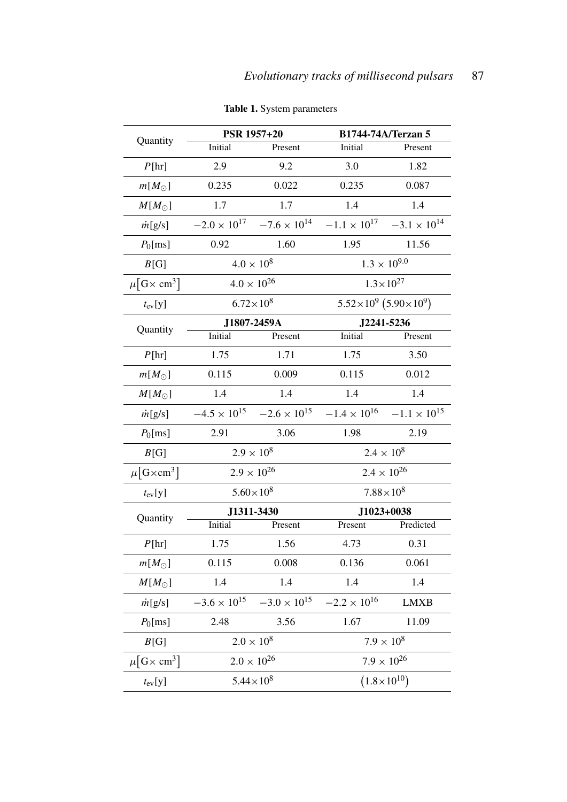| Quantity                            | <b>PSR 1957+20</b>    |                       | B1744-74A/Terzan 5                      |                       |
|-------------------------------------|-----------------------|-----------------------|-----------------------------------------|-----------------------|
|                                     | Initial               | Present               | Initial                                 | Present               |
| P[hr]                               | 2.9                   | 9.2                   | 3.0                                     | 1.82                  |
| $m[M_{\odot}]$                      | 0.235                 | 0.022                 | 0.235                                   | 0.087                 |
| $M[M_{\odot}]$                      | 1.7                   | 1.7                   | 1.4                                     | 1.4                   |
| $\dot{m}$ [g/s]                     | $-2.0 \times 10^{17}$ | $-7.6 \times 10^{14}$ | $-1.1 \times 10^{17}$                   | $-3.1 \times 10^{14}$ |
| $P_0$ [ms]                          | 0.92                  | 1.60                  | 1.95                                    | 11.56                 |
| B[G]                                | $4.0 \times 10^{8}$   |                       | $1.3 \times 10^{9.0}$                   |                       |
| $\mu$ [G× cm <sup>3</sup> ]         | $4.0 \times 10^{26}$  |                       | $1.3 \times 10^{27}$                    |                       |
| $t_{ev}[y]$                         | $6.72 \times 10^{8}$  |                       | $5.52 \times 10^9$ $(5.90 \times 10^9)$ |                       |
| Quantity                            | J1807-2459A           |                       | J2241-5236                              |                       |
|                                     | Initial               | Present               | Initial                                 | Present               |
| P[hr]                               | 1.75                  | 1.71                  | 1.75                                    | 3.50                  |
| $m[M_{\odot}]$                      | 0.115                 | 0.009                 | 0.115                                   | 0.012                 |
| $M[M_{\odot}]$                      | 1.4                   | 1.4                   | 1.4                                     | 1.4                   |
| $\dot{m}$ [g/s]                     | $-4.5 \times 10^{15}$ | $-2.6 \times 10^{15}$ | $-1.4\times10^{16}$                     | $-1.1 \times 10^{15}$ |
| $P_0$ [ms]                          | 2.91                  | 3.06                  | 1.98                                    | 2.19                  |
| B[G]                                | $2.9 \times 10^{8}$   |                       | $2.4 \times 10^{8}$                     |                       |
| $\mu$ [G $\times$ cm <sup>3</sup> ] | $2.9 \times 10^{26}$  |                       | $2.4 \times 10^{26}$                    |                       |
| $t_{\rm ev}[y]$                     | $5.60 \times 10^{8}$  |                       | $7.88 \times 10^{8}$                    |                       |
| Quantity                            | J1311-3430            |                       | J1023+0038                              |                       |
|                                     | Initial               | Present               | Present                                 | Predicted             |
| P[hr]                               | 1.75                  | 1.56                  | 4.73                                    | 0.31                  |
| $m[M_{\odot}]$                      | 0.115                 | 0.008                 | 0.136                                   | 0.061                 |
| $M[M_{\odot}]$                      | 1.4                   | 1.4                   | 1.4                                     | 1.4                   |
| $\dot{m}$ [g/s]                     | $-3.6 \times 10^{15}$ | $-3.0 \times 10^{15}$ | $-2.2 \times 10^{16}$                   | <b>LMXB</b>           |
| $P_0$ [ms]                          | 2.48                  | 3.56                  | 1.67                                    | 11.09                 |
| B[G]                                | $2.0 \times 10^8$     |                       | $7.9 \times 10^{8}$                     |                       |
| $\mu$ [G $\times$ cm <sup>3</sup> ] | $2.0 \times 10^{26}$  |                       | $7.9 \times 10^{26}$                    |                       |
| $t_{ev}[y]$                         | $5.44 \times 10^8$    |                       | $(1.8 \times 10^{10})$                  |                       |

Table 1. System parameters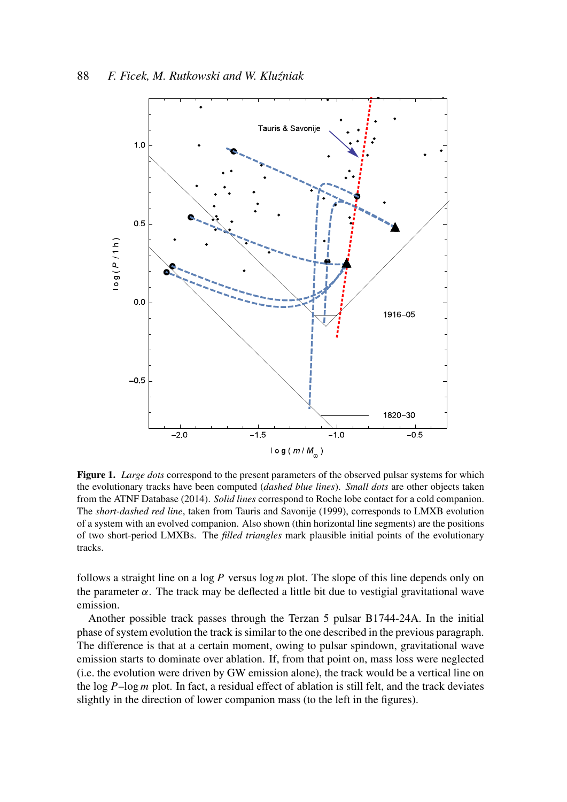

Figure 1. *Large dots* correspond to the present parameters of the observed pulsar systems for which the evolutionary tracks have been computed (*dashed blue lines*). *Small dots* are other objects taken from the ATNF Database (2014). *Solid lines* correspond to Roche lobe contact for a cold companion. The *short-dashed red line*, taken from Tauris and Savonije (1999), corresponds to LMXB evolution of a system with an evolved companion. Also shown (thin horizontal line segments) are the positions of two short-period LMXBs. The *filled triangles* mark plausible initial points of the evolutionary tracks.

follows a straight line on a log *P* versus log *m* plot. The slope of this line depends only on the parameter  $\alpha$ . The track may be deflected a little bit due to vestigial gravitational wave emission.

Another possible track passes through the Terzan 5 pulsar B1744-24A. In the initial phase of system evolution the track is similar to the one described in the previous paragraph. The difference is that at a certain moment, owing to pulsar spindown, gravitational wave emission starts to dominate over ablation. If, from that point on, mass loss were neglected (i.e. the evolution were driven by GW emission alone), the track would be a vertical line on the log *P*–log *m* plot. In fact, a residual effect of ablation is still felt, and the track deviates slightly in the direction of lower companion mass (to the left in the figures).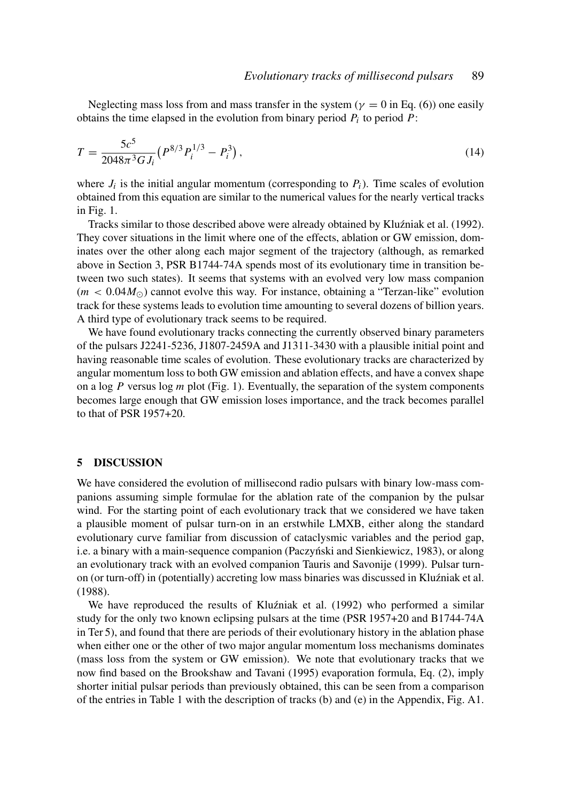Neglecting mass loss from and mass transfer in the system ( $\gamma = 0$  in Eq. (6)) one easily obtains the time elapsed in the evolution from binary period *P<sup>i</sup>* to period *P*:

$$
T = \frac{5c^5}{2048\pi^3 G J_i} \left( P^{8/3} P_i^{1/3} - P_i^3 \right),\tag{14}
$$

where  $J_i$  is the initial angular momentum (corresponding to  $P_i$ ). Time scales of evolution obtained from this equation are similar to the numerical values for the nearly vertical tracks in Fig. 1.

Tracks similar to those described above were already obtained by Kluźniak et al. (1992). They cover situations in the limit where one of the effects, ablation or GW emission, dominates over the other along each major segment of the trajectory (although, as remarked above in Section 3, PSR B1744-74A spends most of its evolutionary time in transition between two such states). It seems that systems with an evolved very low mass companion  $(m < 0.04 M_{\odot})$  cannot evolve this way. For instance, obtaining a "Terzan-like" evolution track for these systems leads to evolution time amounting to several dozens of billion years. A third type of evolutionary track seems to be required.

We have found evolutionary tracks connecting the currently observed binary parameters of the pulsars J2241-5236, J1807-2459A and J1311-3430 with a plausible initial point and having reasonable time scales of evolution. These evolutionary tracks are characterized by angular momentum loss to both GW emission and ablation effects, and have a convex shape on a log *P* versus log *m* plot (Fig. 1). Eventually, the separation of the system components becomes large enough that GW emission loses importance, and the track becomes parallel to that of PSR 1957+20.

#### 5 DISCUSSION

We have considered the evolution of millisecond radio pulsars with binary low-mass companions assuming simple formulae for the ablation rate of the companion by the pulsar wind. For the starting point of each evolutionary track that we considered we have taken a plausible moment of pulsar turn-on in an erstwhile LMXB, either along the standard evolutionary curve familiar from discussion of cataclysmic variables and the period gap, i.e. a binary with a main-sequence companion (Paczyński and Sienkiewicz, 1983), or along an evolutionary track with an evolved companion Tauris and Savonije (1999). Pulsar turnon (or turn-off) in (potentially) accreting low mass binaries was discussed in Kluźniak et al. (1988).

We have reproduced the results of Kluźniak et al. (1992) who performed a similar study for the only two known eclipsing pulsars at the time (PSR 1957+20 and B1744-74A in Ter 5), and found that there are periods of their evolutionary history in the ablation phase when either one or the other of two major angular momentum loss mechanisms dominates (mass loss from the system or GW emission). We note that evolutionary tracks that we now find based on the Brookshaw and Tavani (1995) evaporation formula, Eq. (2), imply shorter initial pulsar periods than previously obtained, this can be seen from a comparison of the entries in Table 1 with the description of tracks (b) and (e) in the Appendix, Fig. A1.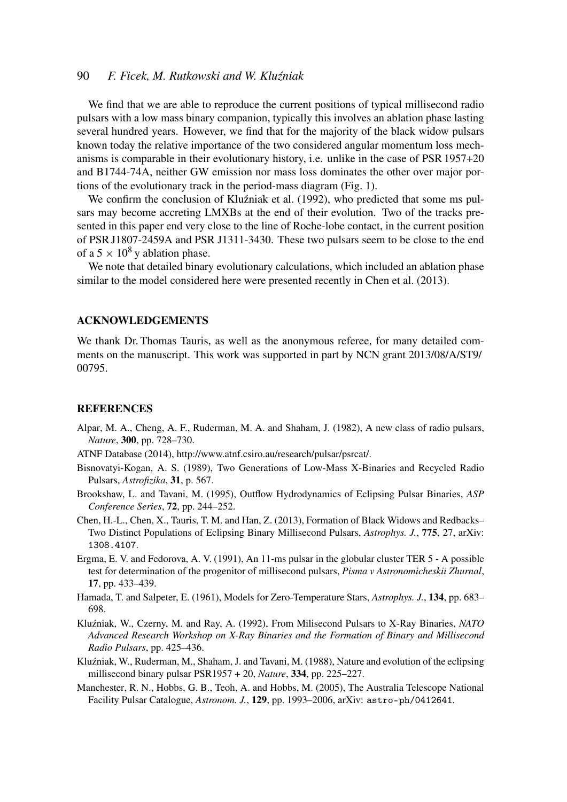# 90 *F. Ficek, M. Rutkowski and W. Klu´zniak*

We find that we are able to reproduce the current positions of typical millisecond radio pulsars with a low mass binary companion, typically this involves an ablation phase lasting several hundred years. However, we find that for the majority of the black widow pulsars known today the relative importance of the two considered angular momentum loss mechanisms is comparable in their evolutionary history, i.e. unlike in the case of PSR 1957+20 and B1744-74A, neither GW emission nor mass loss dominates the other over major portions of the evolutionary track in the period-mass diagram (Fig. 1).

We confirm the conclusion of Kluźniak et al. (1992), who predicted that some ms pulsars may become accreting LMXBs at the end of their evolution. Two of the tracks presented in this paper end very close to the line of Roche-lobe contact, in the current position of PSR J1807-2459A and PSR J1311-3430. These two pulsars seem to be close to the end of a  $5 \times 10^8$  y ablation phase.

We note that detailed binary evolutionary calculations, which included an ablation phase similar to the model considered here were presented recently in Chen et al. (2013).

#### ACKNOWLEDGEMENTS

We thank Dr. Thomas Tauris, as well as the anonymous referee, for many detailed comments on the manuscript. This work was supported in part by NCN grant 2013/08/A/ST9/ 00795.

#### REFERENCES

- Alpar, M. A., Cheng, A. F., Ruderman, M. A. and Shaham, J. (1982), A new class of radio pulsars, *Nature*, 300, pp. 728–730.
- ATNF Database (2014), http://www.atnf.csiro.au/research/pulsar/psrcat/.
- Bisnovatyi-Kogan, A. S. (1989), Two Generations of Low-Mass X-Binaries and Recycled Radio Pulsars, *Astrofizika*, 31, p. 567.
- Brookshaw, L. and Tavani, M. (1995), Outflow Hydrodynamics of Eclipsing Pulsar Binaries, *ASP Conference Series*, 72, pp. 244–252.
- Chen, H.-L., Chen, X., Tauris, T. M. and Han, Z. (2013), Formation of Black Widows and Redbacks– Two Distinct Populations of Eclipsing Binary Millisecond Pulsars, *Astrophys. J.*, 775, 27, arXiv: 1308.4107.
- Ergma, E. V. and Fedorova, A. V. (1991), An 11-ms pulsar in the globular cluster TER 5 A possible test for determination of the progenitor of millisecond pulsars, *Pisma v Astronomicheskii Zhurnal*, 17, pp. 433–439.
- Hamada, T. and Salpeter, E. (1961), Models for Zero-Temperature Stars, *Astrophys. J.*, 134, pp. 683– 698.
- Klu´zniak, W., Czerny, M. and Ray, A. (1992), From Milisecond Pulsars to X-Ray Binaries, *NATO Advanced Research Workshop on X-Ray Binaries and the Formation of Binary and Millisecond Radio Pulsars*, pp. 425–436.
- Kluźniak, W., Ruderman, M., Shaham, J. and Tavani, M. (1988), Nature and evolution of the eclipsing millisecond binary pulsar PSR1957 + 20, *Nature*, 334, pp. 225–227.
- Manchester, R. N., Hobbs, G. B., Teoh, A. and Hobbs, M. (2005), The Australia Telescope National Facility Pulsar Catalogue, *Astronom. J.*, 129, pp. 1993–2006, arXiv: astro-ph/0412641.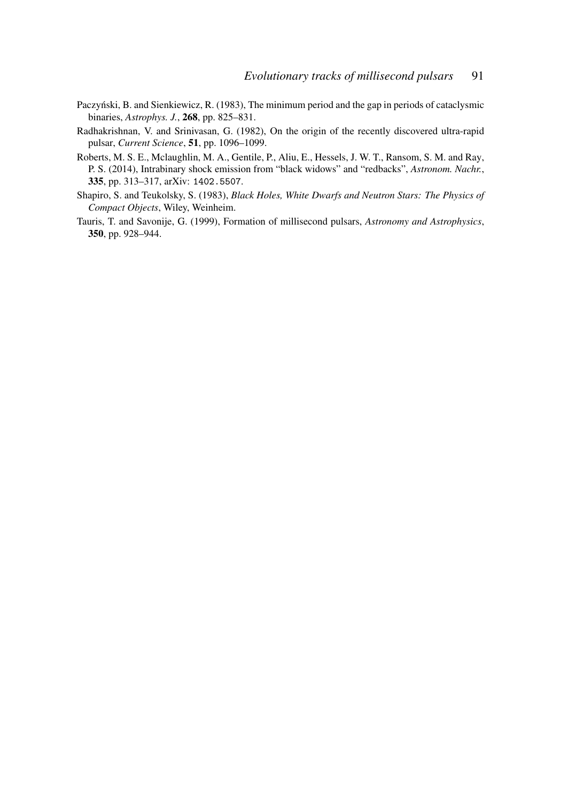- Paczyński, B. and Sienkiewicz, R. (1983), The minimum period and the gap in periods of cataclysmic binaries, *Astrophys. J.*, 268, pp. 825–831.
- Radhakrishnan, V. and Srinivasan, G. (1982), On the origin of the recently discovered ultra-rapid pulsar, *Current Science*, 51, pp. 1096–1099.
- Roberts, M. S. E., Mclaughlin, M. A., Gentile, P., Aliu, E., Hessels, J. W. T., Ransom, S. M. and Ray, P. S. (2014), Intrabinary shock emission from "black widows" and "redbacks", *Astronom. Nachr.*, 335, pp. 313–317, arXiv: 1402.5507.
- Shapiro, S. and Teukolsky, S. (1983), *Black Holes, White Dwarfs and Neutron Stars: The Physics of Compact Objects*, Wiley, Weinheim.
- Tauris, T. and Savonije, G. (1999), Formation of millisecond pulsars, *Astronomy and Astrophysics*, 350, pp. 928–944.